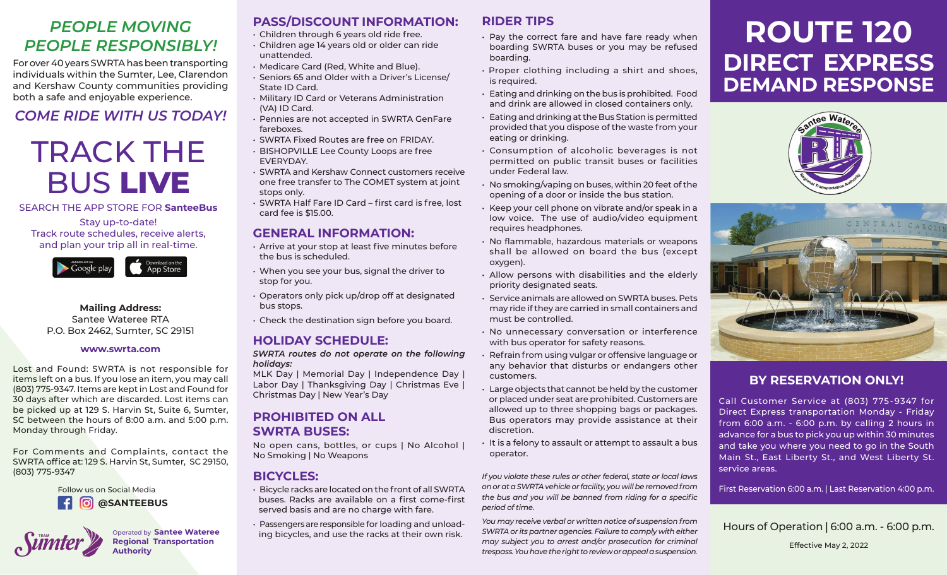### *PEOPLE MOVING PEOPLE RESPONSIBLY!*

For over 40 years SWRTA has been transporting individuals within the Sumter, Lee, Clarendon and Kershaw County communities providing both a safe and enjoyable experience.

#### *COME RIDE WITH US TODAY!*

# TRACK THE BUS **LIVE**

SEARCH THE APP STORE FOR **SanteeBus**

Stay up-to-date! Track route schedules, receive alerts, and plan your trip all in real-time.



**Mailing Address:** Santee Wateree RTA P.O. Box 2462, Sumter, SC 29151

#### **www.swrta.com**

Lost and Found: SWRTA is not responsible for items left on a bus. If you lose an item, you may call (803) 775-9347. Items are kept in Lost and Found for 30 days after which are discarded. Lost items can be picked up at 129 S. Harvin St, Suite 6, Sumter, SC between the hours of 8:00 a.m. and 5:00 p.m. Monday through Friday.

For Comments and Complaints, contact the SWRTA office at: 129 S. Harvin St, Sumter, SC 29150, (803) 775-9347



Operated by **Santee Wateree Regional Transportation Authority**

#### **PASS/DISCOUNT INFORMATION:**

- Children through 6 years old ride free.
- Children age 14 years old or older can ride unattended.
- Medicare Card (Red, White and Blue).
- Seniors 65 and Older with a Driver's License/ State ID Card.
- Military ID Card or Veterans Administration (VA) ID Card.
- Pennies are not accepted in SWRTA GenFare fareboxes.
- SWRTA Fixed Routes are free on FRIDAY.
- BISHOPVILLE Lee County Loops are free EVERYDAY.
- SWRTA and Kershaw Connect customers receive one free transfer to The COMET system at joint stops only.
- SWRTA Half Fare ID Card first card is free, lost card fee is \$15.00.

#### **GENERAL INFORMATION:**

- Arrive at your stop at least five minutes before the bus is scheduled.
- When you see your bus, signal the driver to stop for you.
- Operators only pick up/drop off at designated bus stops.
- Check the destination sign before you board.

#### **HOLIDAY SCHEDULE:**

*SWRTA routes do not operate on the following holidays:*

MLK Day | Memorial Day | Independence Day | Labor Day | Thanksgiving Day | Christmas Eve | Christmas Day | New Year's Day

#### **PROHIBITED ON ALL SWRTA BUSES:**

No open cans, bottles, or cups | No Alcohol | No Smoking | No Weapons

#### **BICYCLES:**

- Bicycle racks are located on the front of all SWRTA buses. Racks are available on a first come-first served basis and are no charge with fare.
- Passengers are responsible for loading and unloading bicycles, and use the racks at their own risk.

#### **RIDER TIPS**

- Pay the correct fare and have fare ready when boarding SWRTA buses or you may be refused boarding.
- Proper clothing including a shirt and shoes, is required.
- Eating and drinking on the bus is prohibited. Food and drink are allowed in closed containers only.
- Eating and drinking at the Bus Station is permitted provided that you dispose of the waste from your eating or drinking.
- Consumption of alcoholic beverages is not permitted on public transit buses or facilities under Federal law.
- No smoking/vaping on buses, within 20 feet of the opening of a door or inside the bus station.
- Keep your cell phone on vibrate and/or speak in a low voice. The use of audio/video equipment requires headphones.
- No flammable, hazardous materials or weapons shall be allowed on board the bus (except oxygen).
- Allow persons with disabilities and the elderly priority designated seats.
- Service animals are allowed on SWRTA buses. Pets may ride if they are carried in small containers and must be controlled.
- No unnecessary conversation or interference with bus operator for safety reasons.
- Refrain from using vulgar or offensive language or any behavior that disturbs or endangers other customers.
- Large objects that cannot be held by the customer or placed under seat are prohibited. Customers are allowed up to three shopping bags or packages. Bus operators may provide assistance at their discretion.
- It is a felony to assault or attempt to assault a bus operator.

*If you violate these rules or other federal, state or local laws on or at a SWRTA vehicle or facility, you will be removed from the bus and you will be banned from riding for a specific period of time.* 

*You may receive verbal or written notice of suspension from SWRTA or its partner agencies. Failure to comply with either may subject you to arrest and/or prosecution for criminal trespass. You have the right to review or appeal a suspension.*

## **ROUTE 120 DIRECT EXPRESS DEMAND RESPONSE**





#### **BY RESERVATION ONLY!**

Call Customer Service at (803) 775 - 9347 for Direct Express transportation Monday - Friday from 6:00 a.m. - 6:00 p.m. by calling 2 hours in advance for a bus to pick you up within 30 minutes and take you where you need to go in the South Main St., East Liberty St., and West Liberty St. service areas.

First Reservation 6:00 a.m. | Last Reservation 4:00 p.m.

Hours of Operation **|** 6:00 a.m. - 6:00 p.m. Effective May 2, 2022